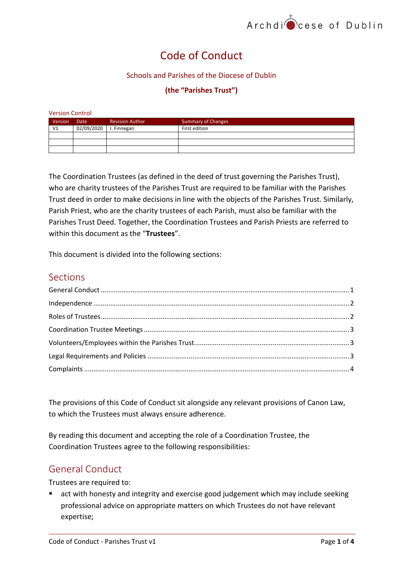# Code of Conduct

#### Schools and Parishes of the Diocese of Dublin

#### **(the "Parishes Trust")**

| <b>Version Control</b> |             |                        |                           |  |  |  |  |  |  |
|------------------------|-------------|------------------------|---------------------------|--|--|--|--|--|--|
| Version                | <b>Date</b> | <b>Revision Author</b> | <b>Summary of Changes</b> |  |  |  |  |  |  |
| V <sub>1</sub>         | 02/09/2020  | I. Finnegan            | First edition             |  |  |  |  |  |  |
|                        |             |                        |                           |  |  |  |  |  |  |
|                        |             |                        |                           |  |  |  |  |  |  |
|                        |             |                        |                           |  |  |  |  |  |  |

The Coordination Trustees (as defined in the deed of trust governing the Parishes Trust), who are charity trustees of the Parishes Trust are required to be familiar with the Parishes Trust deed in order to make decisions in line with the objects of the Parishes Trust. Similarly, Parish Priest, who are the charity trustees of each Parish, must also be familiar with the Parishes Trust Deed. Together, the Coordination Trustees and Parish Priests are referred to within this document as the "**Trustees**".

This document is divided into the following sections:

### Sections

The provisions of this Code of Conduct sit alongside any relevant provisions of Canon Law, to which the Trustees must always ensure adherence.

By reading this document and accepting the role of a Coordination Trustee, the Coordination Trustees agree to the following responsibilities:

# <span id="page-0-0"></span>General Conduct

Trustees are required to:

 act with honesty and integrity and exercise good judgement which may include seeking professional advice on appropriate matters on which Trustees do not have relevant expertise;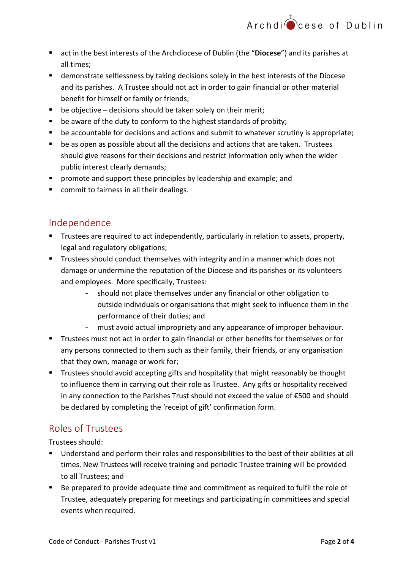- act in the best interests of the Archdiocese of Dublin (the "**Diocese**") and its parishes at all times;
- demonstrate selflessness by taking decisions solely in the best interests of the Diocese and its parishes. A Trustee should not act in order to gain financial or other material benefit for himself or family or friends;
- $\blacksquare$  be objective decisions should be taken solely on their merit;
- **•** be aware of the duty to conform to the highest standards of probity;
- be accountable for decisions and actions and submit to whatever scrutiny is appropriate;
- be as open as possible about all the decisions and actions that are taken. Trustees should give reasons for their decisions and restrict information only when the wider public interest clearly demands;
- promote and support these principles by leadership and example; and
- commit to fairness in all their dealings.

### <span id="page-1-0"></span>Independence

- **Trustees are required to act independently, particularly in relation to assets, property,** legal and regulatory obligations;
- **Trustees should conduct themselves with integrity and in a manner which does not** damage or undermine the reputation of the Diocese and its parishes or its volunteers and employees. More specifically, Trustees:
	- should not place themselves under any financial or other obligation to outside individuals or organisations that might seek to influence them in the performance of their duties; and
	- must avoid actual impropriety and any appearance of improper behaviour.
- **Trustees must not act in order to gain financial or other benefits for themselves or for** any persons connected to them such as their family, their friends, or any organisation that they own, manage or work for;
- **Trustees should avoid accepting gifts and hospitality that might reasonably be thought** to influence them in carrying out their role as Trustee. Any gifts or hospitality received in any connection to the Parishes Trust should not exceed the value of €500 and should be declared by completing the 'receipt of gift' confirmation form.

# <span id="page-1-1"></span>Roles of Trustees

Trustees should:

- Understand and perform their roles and responsibilities to the best of their abilities at all times. New Trustees will receive training and periodic Trustee training will be provided to all Trustees; and
- Be prepared to provide adequate time and commitment as required to fulfil the role of Trustee, adequately preparing for meetings and participating in committees and special events when required.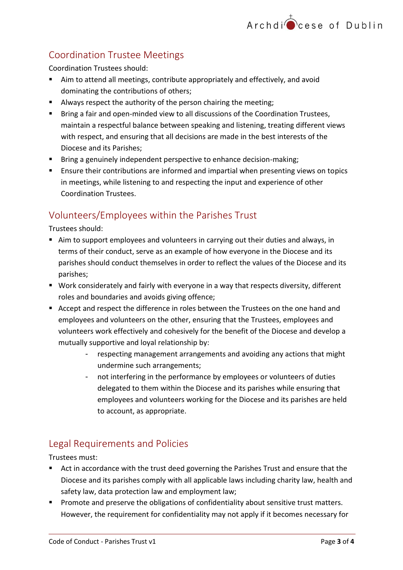# <span id="page-2-0"></span>Coordination Trustee Meetings

Coordination Trustees should:

- Aim to attend all meetings, contribute appropriately and effectively, and avoid dominating the contributions of others;
- Always respect the authority of the person chairing the meeting;
- **Bring a fair and open-minded view to all discussions of the Coordination Trustees,** maintain a respectful balance between speaking and listening, treating different views with respect, and ensuring that all decisions are made in the best interests of the Diocese and its Parishes;
- **Bring a genuinely independent perspective to enhance decision-making;**
- **Ensure their contributions are informed and impartial when presenting views on topics** in meetings, while listening to and respecting the input and experience of other Coordination Trustees.

# <span id="page-2-1"></span>Volunteers/Employees within the Parishes Trust

Trustees should:

- Aim to support employees and volunteers in carrying out their duties and always, in terms of their conduct, serve as an example of how everyone in the Diocese and its parishes should conduct themselves in order to reflect the values of the Diocese and its parishes;
- Work considerately and fairly with everyone in a way that respects diversity, different roles and boundaries and avoids giving offence;
- Accept and respect the difference in roles between the Trustees on the one hand and employees and volunteers on the other, ensuring that the Trustees, employees and volunteers work effectively and cohesively for the benefit of the Diocese and develop a mutually supportive and loyal relationship by:
	- respecting management arrangements and avoiding any actions that might undermine such arrangements;
	- not interfering in the performance by employees or volunteers of duties delegated to them within the Diocese and its parishes while ensuring that employees and volunteers working for the Diocese and its parishes are held to account, as appropriate.

# <span id="page-2-2"></span>Legal Requirements and Policies

Trustees must:

- Act in accordance with the trust deed governing the Parishes Trust and ensure that the Diocese and its parishes comply with all applicable laws including charity law, health and safety law, data protection law and employment law;
- **Promote and preserve the obligations of confidentiality about sensitive trust matters.** However, the requirement for confidentiality may not apply if it becomes necessary for